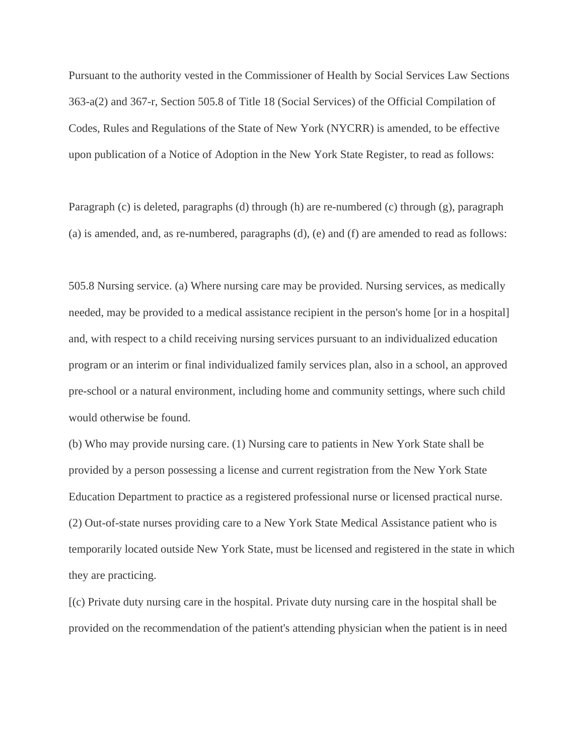Pursuant to the authority vested in the Commissioner of Health by Social Services Law Sections 363-a(2) and 367-r, Section 505.8 of Title 18 (Social Services) of the Official Compilation of Codes, Rules and Regulations of the State of New York (NYCRR) is amended, to be effective upon publication of a Notice of Adoption in the New York State Register, to read as follows:

Paragraph (c) is deleted, paragraphs (d) through (h) are re-numbered (c) through (g), paragraph (a) is amended, and, as re-numbered, paragraphs (d), (e) and (f) are amended to read as follows:

505.8 Nursing service. (a) Where nursing care may be provided. Nursing services, as medically needed, may be provided to a medical assistance recipient in the person's home [or in a hospital] and, with respect to a child receiving nursing services pursuant to an individualized education program or an interim or final individualized family services plan, also in a school, an approved pre-school or a natural environment, including home and community settings, where such child would otherwise be found.

(b) Who may provide nursing care. (1) Nursing care to patients in New York State shall be provided by a person possessing a license and current registration from the New York State Education Department to practice as a registered professional nurse or licensed practical nurse. (2) Out-of-state nurses providing care to a New York State Medical Assistance patient who is temporarily located outside New York State, must be licensed and registered in the state in which they are practicing.

[(c) Private duty nursing care in the hospital. Private duty nursing care in the hospital shall be provided on the recommendation of the patient's attending physician when the patient is in need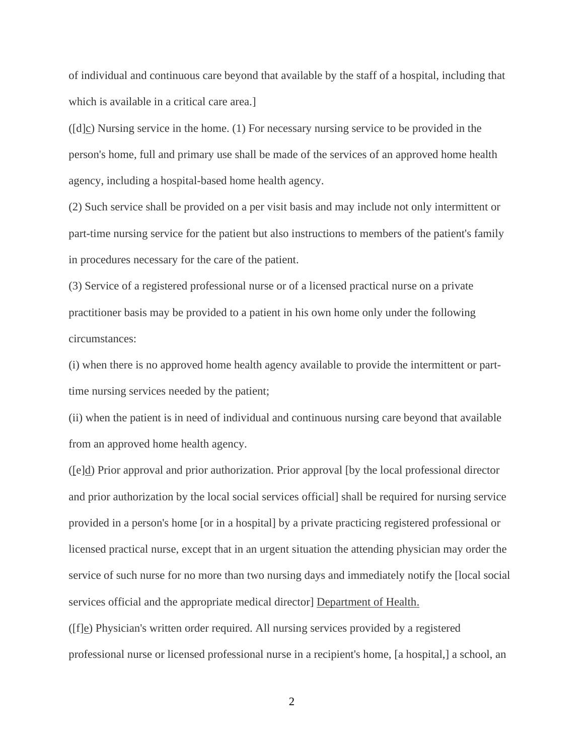of individual and continuous care beyond that available by the staff of a hospital, including that which is available in a critical care area.]

([d]c) Nursing service in the home. (1) For necessary nursing service to be provided in the person's home, full and primary use shall be made of the services of an approved home health agency, including a hospital-based home health agency.

(2) Such service shall be provided on a per visit basis and may include not only intermittent or part-time nursing service for the patient but also instructions to members of the patient's family in procedures necessary for the care of the patient.

(3) Service of a registered professional nurse or of a licensed practical nurse on a private practitioner basis may be provided to a patient in his own home only under the following circumstances:

(i) when there is no approved home health agency available to provide the intermittent or parttime nursing services needed by the patient;

(ii) when the patient is in need of individual and continuous nursing care beyond that available from an approved home health agency.

([e]d) Prior approval and prior authorization. Prior approval [by the local professional director and prior authorization by the local social services official] shall be required for nursing service provided in a person's home [or in a hospital] by a private practicing registered professional or licensed practical nurse, except that in an urgent situation the attending physician may order the service of such nurse for no more than two nursing days and immediately notify the [local social services official and the appropriate medical director] Department of Health.

 $(f|e)$  Physician's written order required. All nursing services provided by a registered professional nurse or licensed professional nurse in a recipient's home, [a hospital,] a school, an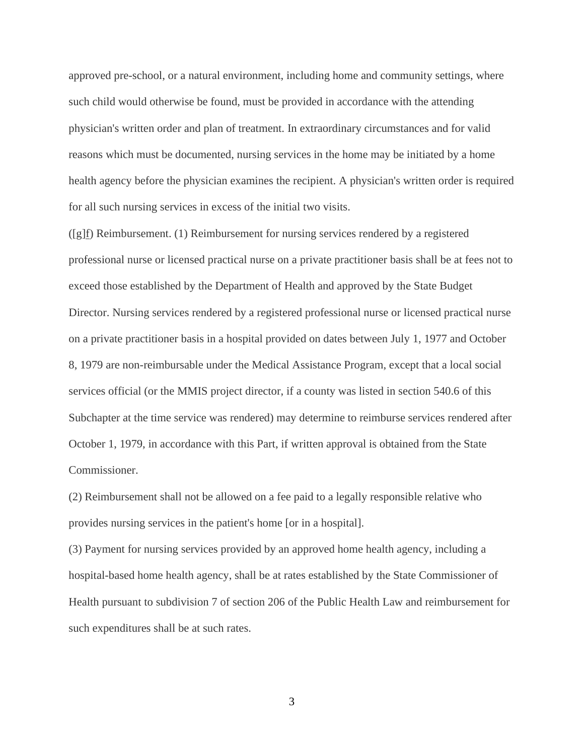approved pre-school, or a natural environment, including home and community settings, where such child would otherwise be found, must be provided in accordance with the attending physician's written order and plan of treatment. In extraordinary circumstances and for valid reasons which must be documented, nursing services in the home may be initiated by a home health agency before the physician examines the recipient. A physician's written order is required for all such nursing services in excess of the initial two visits.

([g]f) Reimbursement. (1) Reimbursement for nursing services rendered by a registered professional nurse or licensed practical nurse on a private practitioner basis shall be at fees not to exceed those established by the Department of Health and approved by the State Budget Director. Nursing services rendered by a registered professional nurse or licensed practical nurse on a private practitioner basis in a hospital provided on dates between July 1, 1977 and October 8, 1979 are non-reimbursable under the Medical Assistance Program, except that a local social services official (or the MMIS project director, if a county was listed in section 540.6 of this Subchapter at the time service was rendered) may determine to reimburse services rendered after October 1, 1979, in accordance with this Part, if written approval is obtained from the State Commissioner.

(2) Reimbursement shall not be allowed on a fee paid to a legally responsible relative who provides nursing services in the patient's home [or in a hospital].

(3) Payment for nursing services provided by an approved home health agency, including a hospital-based home health agency, shall be at rates established by the State Commissioner of Health pursuant to subdivision 7 of section 206 of the Public Health Law and reimbursement for such expenditures shall be at such rates.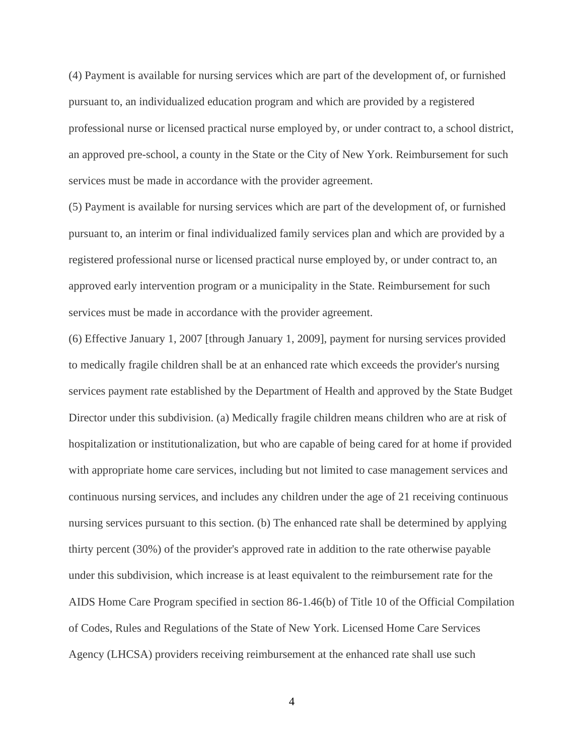(4) Payment is available for nursing services which are part of the development of, or furnished pursuant to, an individualized education program and which are provided by a registered professional nurse or licensed practical nurse employed by, or under contract to, a school district, an approved pre-school, a county in the State or the City of New York. Reimbursement for such services must be made in accordance with the provider agreement.

(5) Payment is available for nursing services which are part of the development of, or furnished pursuant to, an interim or final individualized family services plan and which are provided by a registered professional nurse or licensed practical nurse employed by, or under contract to, an approved early intervention program or a municipality in the State. Reimbursement for such services must be made in accordance with the provider agreement.

(6) Effective January 1, 2007 [through January 1, 2009], payment for nursing services provided to medically fragile children shall be at an enhanced rate which exceeds the provider's nursing services payment rate established by the Department of Health and approved by the State Budget Director under this subdivision. (a) Medically fragile children means children who are at risk of hospitalization or institutionalization, but who are capable of being cared for at home if provided with appropriate home care services, including but not limited to case management services and continuous nursing services, and includes any children under the age of 21 receiving continuous nursing services pursuant to this section. (b) The enhanced rate shall be determined by applying thirty percent (30%) of the provider's approved rate in addition to the rate otherwise payable under this subdivision, which increase is at least equivalent to the reimbursement rate for the AIDS Home Care Program specified in section 86-1.46(b) of Title 10 of the Official Compilation of Codes, Rules and Regulations of the State of New York. Licensed Home Care Services Agency (LHCSA) providers receiving reimbursement at the enhanced rate shall use such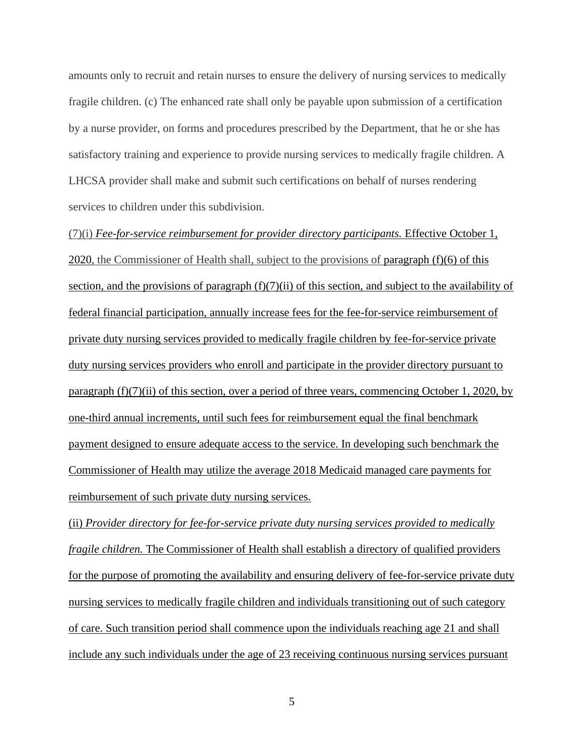amounts only to recruit and retain nurses to ensure the delivery of nursing services to medically fragile children. (c) The enhanced rate shall only be payable upon submission of a certification by a nurse provider, on forms and procedures prescribed by the Department, that he or she has satisfactory training and experience to provide nursing services to medically fragile children. A LHCSA provider shall make and submit such certifications on behalf of nurses rendering services to children under this subdivision.

(7)(i) *Fee-for-service reimbursement for provider directory participants.* Effective October 1, 2020, the Commissioner of Health shall, subject to the provisions of paragraph (f)(6) of this section, and the provisions of paragraph (f)(7)(ii) of this section, and subject to the availability of federal financial participation, annually increase fees for the fee-for-service reimbursement of private duty nursing services provided to medically fragile children by fee-for-service private duty nursing services providers who enroll and participate in the provider directory pursuant to paragraph (f)(7)(ii) of this section, over a period of three years, commencing October 1, 2020, by one-third annual increments, until such fees for reimbursement equal the final benchmark payment designed to ensure adequate access to the service. In developing such benchmark the Commissioner of Health may utilize the average 2018 Medicaid managed care payments for reimbursement of such private duty nursing services.

(ii) *Provider directory for fee-for-service private duty nursing services provided to medically fragile children.* The Commissioner of Health shall establish a directory of qualified providers for the purpose of promoting the availability and ensuring delivery of fee-for-service private duty nursing services to medically fragile children and individuals transitioning out of such category of care. Such transition period shall commence upon the individuals reaching age 21 and shall include any such individuals under the age of 23 receiving continuous nursing services pursuant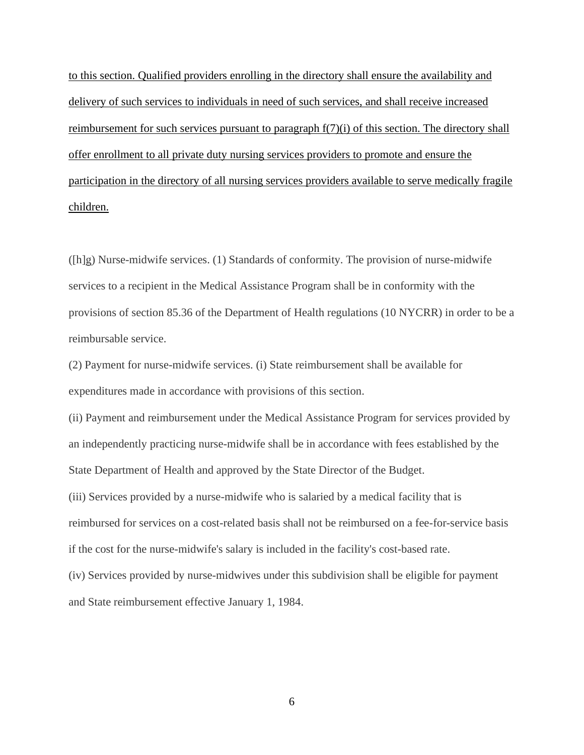to this section. Qualified providers enrolling in the directory shall ensure the availability and delivery of such services to individuals in need of such services, and shall receive increased reimbursement for such services pursuant to paragraph  $f(7)(i)$  of this section. The directory shall offer enrollment to all private duty nursing services providers to promote and ensure the participation in the directory of all nursing services providers available to serve medically fragile children.

([h]g) Nurse-midwife services. (1) Standards of conformity. The provision of nurse-midwife services to a recipient in the Medical Assistance Program shall be in conformity with the provisions of section 85.36 of the Department of Health regulations (10 NYCRR) in order to be a reimbursable service.

(2) Payment for nurse-midwife services. (i) State reimbursement shall be available for expenditures made in accordance with provisions of this section.

(ii) Payment and reimbursement under the Medical Assistance Program for services provided by an independently practicing nurse-midwife shall be in accordance with fees established by the State Department of Health and approved by the State Director of the Budget.

(iii) Services provided by a nurse-midwife who is salaried by a medical facility that is reimbursed for services on a cost-related basis shall not be reimbursed on a fee-for-service basis if the cost for the nurse-midwife's salary is included in the facility's cost-based rate.

(iv) Services provided by nurse-midwives under this subdivision shall be eligible for payment and State reimbursement effective January 1, 1984.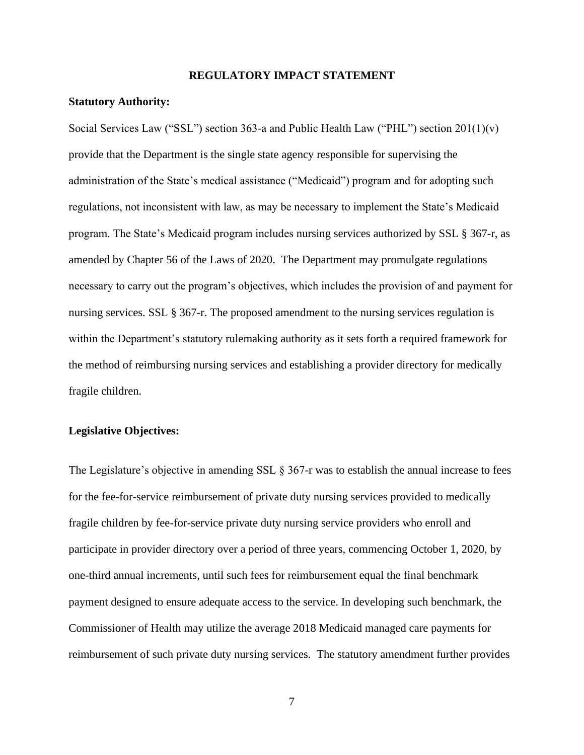## **REGULATORY IMPACT STATEMENT**

### **Statutory Authority:**

Social Services Law ("SSL") section 363-a and Public Health Law ("PHL") section 201(1)(v) provide that the Department is the single state agency responsible for supervising the administration of the State's medical assistance ("Medicaid") program and for adopting such regulations, not inconsistent with law, as may be necessary to implement the State's Medicaid program. The State's Medicaid program includes nursing services authorized by SSL § 367-r, as amended by Chapter 56 of the Laws of 2020. The Department may promulgate regulations necessary to carry out the program's objectives, which includes the provision of and payment for nursing services. SSL § 367-r. The proposed amendment to the nursing services regulation is within the Department's statutory rulemaking authority as it sets forth a required framework for the method of reimbursing nursing services and establishing a provider directory for medically fragile children.

## **Legislative Objectives:**

The Legislature's objective in amending SSL § 367-r was to establish the annual increase to fees for the fee-for-service reimbursement of private duty nursing services provided to medically fragile children by fee-for-service private duty nursing service providers who enroll and participate in provider directory over a period of three years, commencing October 1, 2020, by one-third annual increments, until such fees for reimbursement equal the final benchmark payment designed to ensure adequate access to the service. In developing such benchmark, the Commissioner of Health may utilize the average 2018 Medicaid managed care payments for reimbursement of such private duty nursing services. The statutory amendment further provides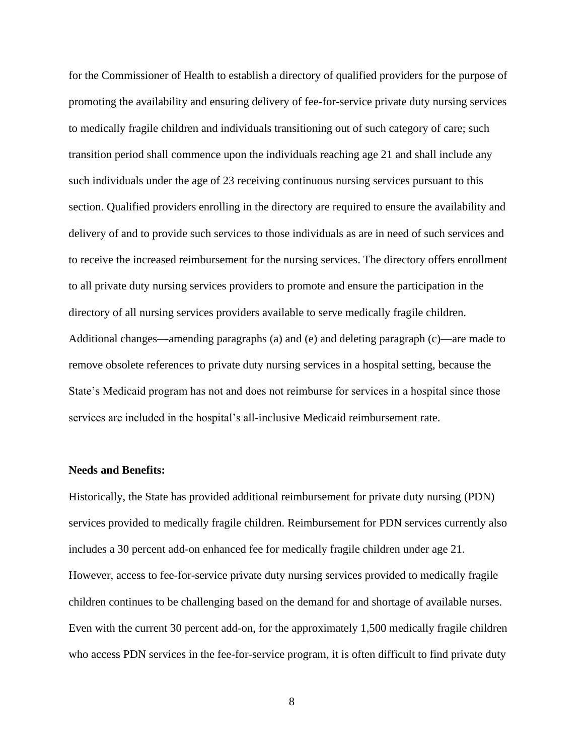for the Commissioner of Health to establish a directory of qualified providers for the purpose of promoting the availability and ensuring delivery of fee-for-service private duty nursing services to medically fragile children and individuals transitioning out of such category of care; such transition period shall commence upon the individuals reaching age 21 and shall include any such individuals under the age of 23 receiving continuous nursing services pursuant to this section. Qualified providers enrolling in the directory are required to ensure the availability and delivery of and to provide such services to those individuals as are in need of such services and to receive the increased reimbursement for the nursing services. The directory offers enrollment to all private duty nursing services providers to promote and ensure the participation in the directory of all nursing services providers available to serve medically fragile children. Additional changes—amending paragraphs (a) and (e) and deleting paragraph (c)—are made to remove obsolete references to private duty nursing services in a hospital setting, because the State's Medicaid program has not and does not reimburse for services in a hospital since those services are included in the hospital's all-inclusive Medicaid reimbursement rate.

## **Needs and Benefits:**

Historically, the State has provided additional reimbursement for private duty nursing (PDN) services provided to medically fragile children. Reimbursement for PDN services currently also includes a 30 percent add-on enhanced fee for medically fragile children under age 21. However, access to fee-for-service private duty nursing services provided to medically fragile children continues to be challenging based on the demand for and shortage of available nurses. Even with the current 30 percent add-on, for the approximately 1,500 medically fragile children who access PDN services in the fee-for-service program, it is often difficult to find private duty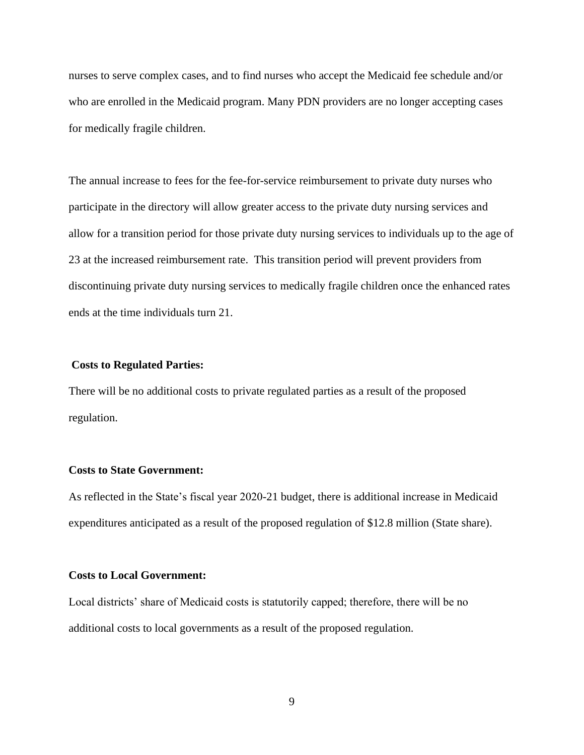nurses to serve complex cases, and to find nurses who accept the Medicaid fee schedule and/or who are enrolled in the Medicaid program. Many PDN providers are no longer accepting cases for medically fragile children.

The annual increase to fees for the fee-for-service reimbursement to private duty nurses who participate in the directory will allow greater access to the private duty nursing services and allow for a transition period for those private duty nursing services to individuals up to the age of 23 at the increased reimbursement rate. This transition period will prevent providers from discontinuing private duty nursing services to medically fragile children once the enhanced rates ends at the time individuals turn 21.

#### **Costs to Regulated Parties:**

There will be no additional costs to private regulated parties as a result of the proposed regulation.

## **Costs to State Government:**

As reflected in the State's fiscal year 2020-21 budget, there is additional increase in Medicaid expenditures anticipated as a result of the proposed regulation of \$12.8 million (State share).

### **Costs to Local Government:**

Local districts' share of Medicaid costs is statutorily capped; therefore, there will be no additional costs to local governments as a result of the proposed regulation.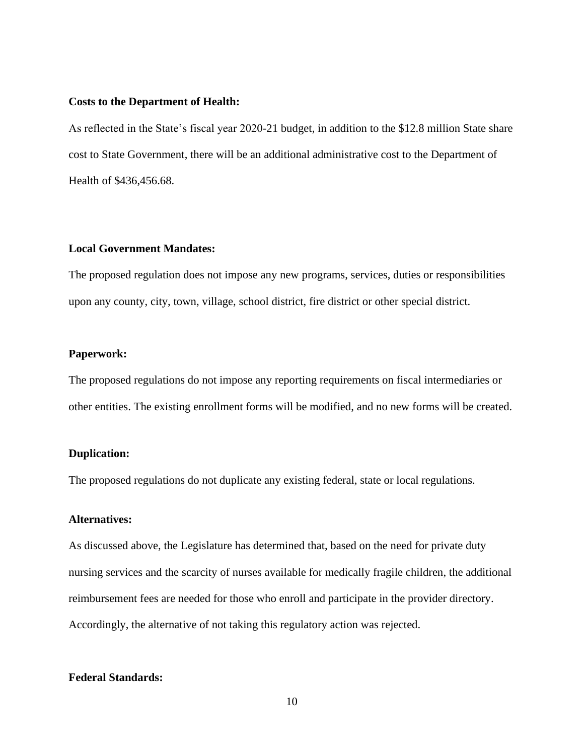## **Costs to the Department of Health:**

As reflected in the State's fiscal year 2020-21 budget, in addition to the \$12.8 million State share cost to State Government, there will be an additional administrative cost to the Department of Health of \$436,456.68.

# **Local Government Mandates:**

The proposed regulation does not impose any new programs, services, duties or responsibilities upon any county, city, town, village, school district, fire district or other special district.

## **Paperwork:**

The proposed regulations do not impose any reporting requirements on fiscal intermediaries or other entities. The existing enrollment forms will be modified, and no new forms will be created.

## **Duplication:**

The proposed regulations do not duplicate any existing federal, state or local regulations.

## **Alternatives:**

As discussed above, the Legislature has determined that, based on the need for private duty nursing services and the scarcity of nurses available for medically fragile children, the additional reimbursement fees are needed for those who enroll and participate in the provider directory. Accordingly, the alternative of not taking this regulatory action was rejected.

## **Federal Standards:**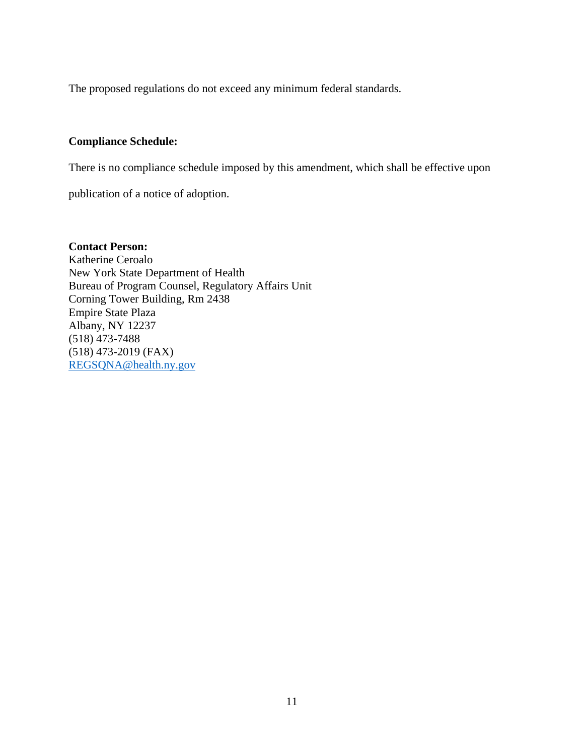The proposed regulations do not exceed any minimum federal standards.

# **Compliance Schedule:**

There is no compliance schedule imposed by this amendment, which shall be effective upon

publication of a notice of adoption.

**Contact Person:**  Katherine Ceroalo New York State Department of Health Bureau of Program Counsel, Regulatory Affairs Unit Corning Tower Building, Rm 2438 Empire State Plaza Albany, NY 12237 (518) 473-7488 (518) 473-2019 (FAX) [REGSQNA@health.ny.gov](mailto:REGSQNA@health.ny.gov)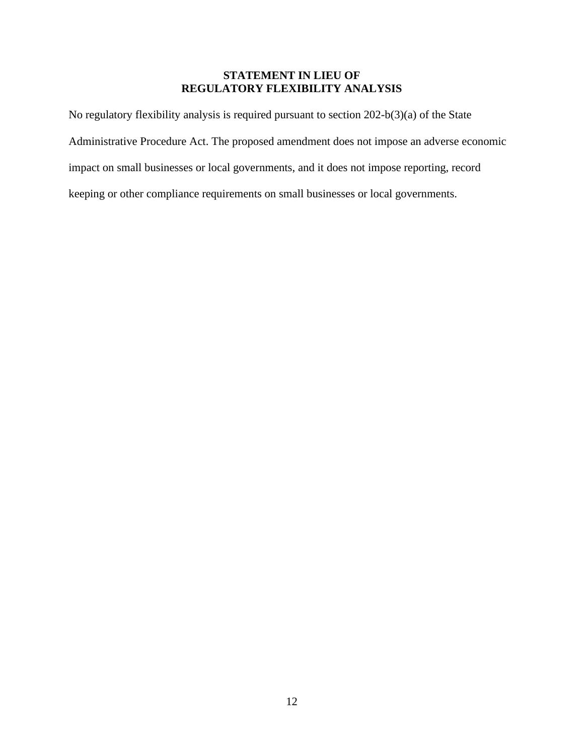# **STATEMENT IN LIEU OF REGULATORY FLEXIBILITY ANALYSIS**

No regulatory flexibility analysis is required pursuant to section 202-b(3)(a) of the State Administrative Procedure Act. The proposed amendment does not impose an adverse economic impact on small businesses or local governments, and it does not impose reporting, record keeping or other compliance requirements on small businesses or local governments.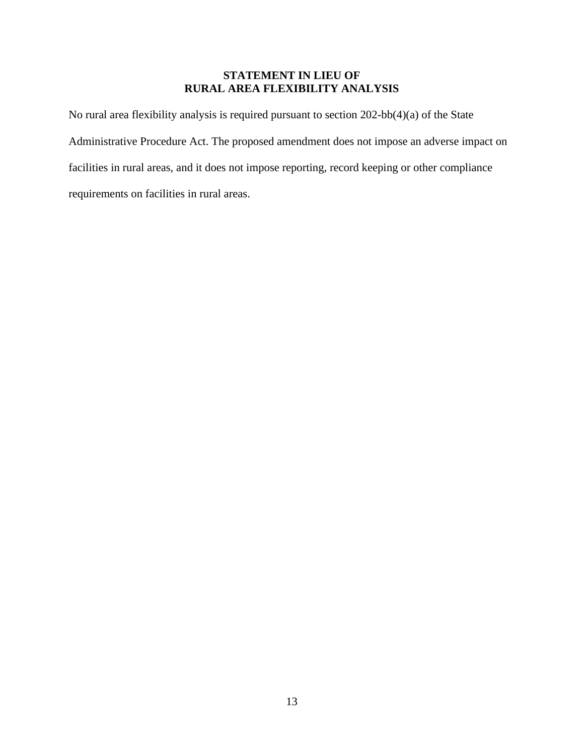# **STATEMENT IN LIEU OF RURAL AREA FLEXIBILITY ANALYSIS**

No rural area flexibility analysis is required pursuant to section 202-bb(4)(a) of the State Administrative Procedure Act. The proposed amendment does not impose an adverse impact on facilities in rural areas, and it does not impose reporting, record keeping or other compliance requirements on facilities in rural areas.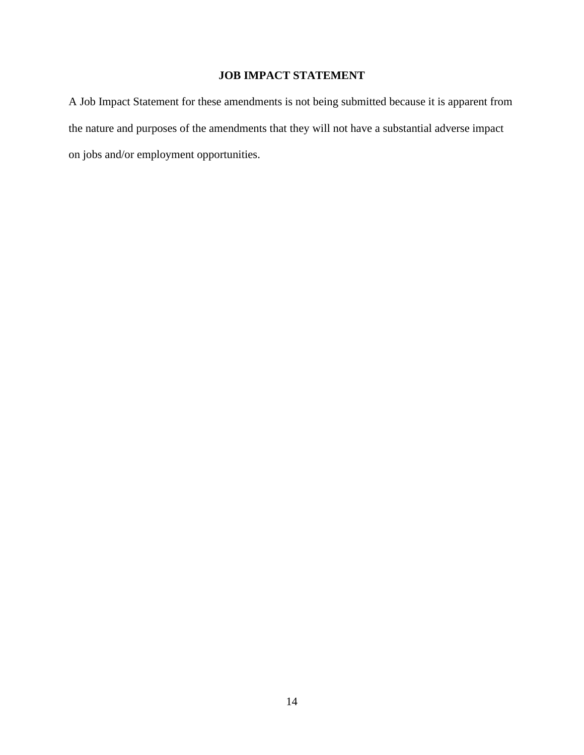# **JOB IMPACT STATEMENT**

A Job Impact Statement for these amendments is not being submitted because it is apparent from the nature and purposes of the amendments that they will not have a substantial adverse impact on jobs and/or employment opportunities.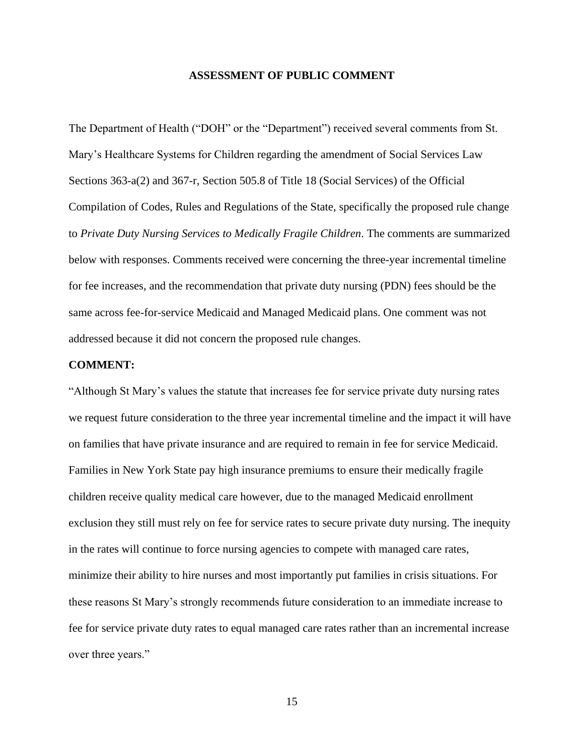## **ASSESSMENT OF PUBLIC COMMENT**

The Department of Health ("DOH" or the "Department") received several comments from St. Mary's Healthcare Systems for Children regarding the amendment of Social Services Law Sections 363-a(2) and 367-r, Section 505.8 of Title 18 (Social Services) of the Official Compilation of Codes, Rules and Regulations of the State, specifically the proposed rule change to *Private Duty Nursing Services to Medically Fragile Children*. The comments are summarized below with responses. Comments received were concerning the three-year incremental timeline for fee increases, and the recommendation that private duty nursing (PDN) fees should be the same across fee-for-service Medicaid and Managed Medicaid plans. One comment was not addressed because it did not concern the proposed rule changes.

#### **COMMENT:**

"Although St Mary's values the statute that increases fee for service private duty nursing rates we request future consideration to the three year incremental timeline and the impact it will have on families that have private insurance and are required to remain in fee for service Medicaid. Families in New York State pay high insurance premiums to ensure their medically fragile children receive quality medical care however, due to the managed Medicaid enrollment exclusion they still must rely on fee for service rates to secure private duty nursing. The inequity in the rates will continue to force nursing agencies to compete with managed care rates, minimize their ability to hire nurses and most importantly put families in crisis situations. For these reasons St Mary's strongly recommends future consideration to an immediate increase to fee for service private duty rates to equal managed care rates rather than an incremental increase over three years."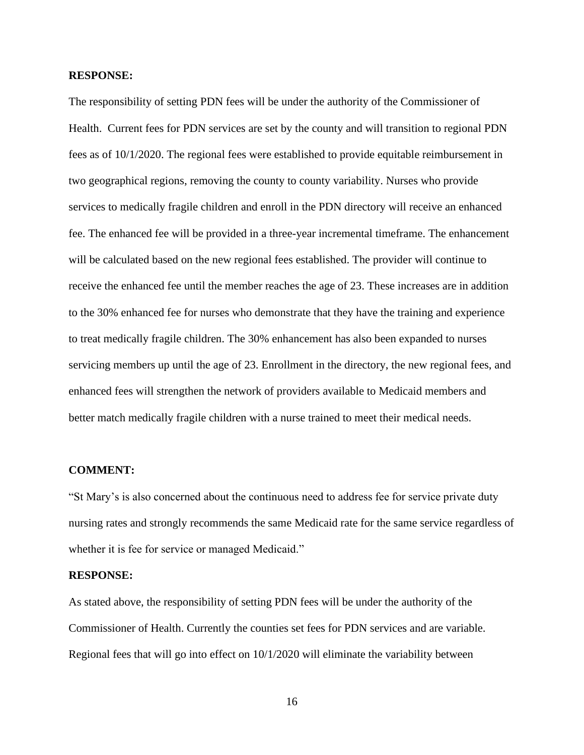## **RESPONSE:**

The responsibility of setting PDN fees will be under the authority of the Commissioner of Health. Current fees for PDN services are set by the county and will transition to regional PDN fees as of 10/1/2020. The regional fees were established to provide equitable reimbursement in two geographical regions, removing the county to county variability. Nurses who provide services to medically fragile children and enroll in the PDN directory will receive an enhanced fee. The enhanced fee will be provided in a three-year incremental timeframe. The enhancement will be calculated based on the new regional fees established. The provider will continue to receive the enhanced fee until the member reaches the age of 23. These increases are in addition to the 30% enhanced fee for nurses who demonstrate that they have the training and experience to treat medically fragile children. The 30% enhancement has also been expanded to nurses servicing members up until the age of 23. Enrollment in the directory, the new regional fees, and enhanced fees will strengthen the network of providers available to Medicaid members and better match medically fragile children with a nurse trained to meet their medical needs.

#### **COMMENT:**

"St Mary's is also concerned about the continuous need to address fee for service private duty nursing rates and strongly recommends the same Medicaid rate for the same service regardless of whether it is fee for service or managed Medicaid."

## **RESPONSE:**

As stated above, the responsibility of setting PDN fees will be under the authority of the Commissioner of Health. Currently the counties set fees for PDN services and are variable. Regional fees that will go into effect on 10/1/2020 will eliminate the variability between